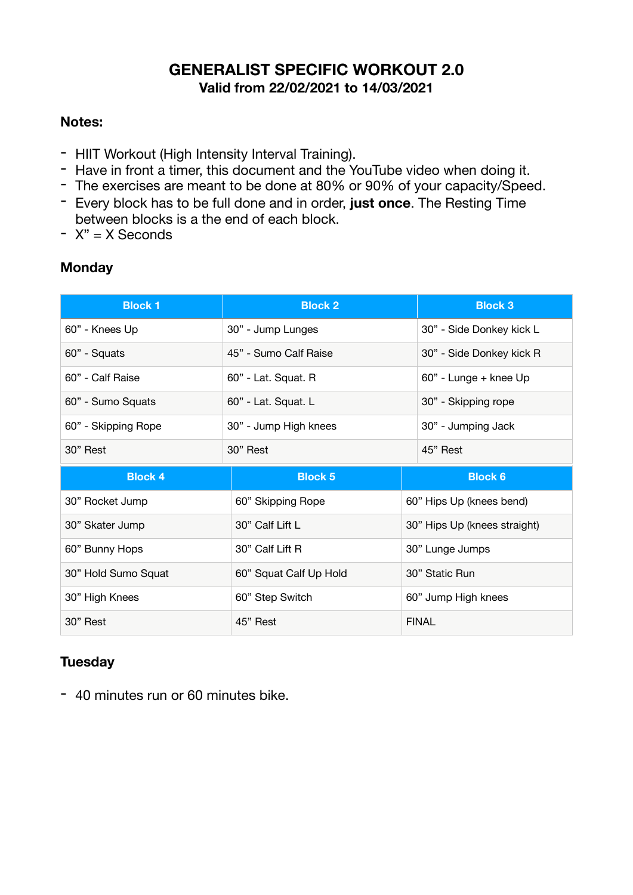### **GENERALIST SPECIFIC WORKOUT 2.0 Valid from 22/02/2021 to 14/03/2021**

#### **Notes:**

- HIIT Workout (High Intensity Interval Training).
- Have in front a timer, this document and the YouTube video when doing it.
- The exercises are meant to be done at 80% or 90% of your capacity/Speed.
- Every block has to be full done and in order, **just once**. The Resting Time between blocks is a the end of each block.
- $-$  X" = X Seconds

#### **Monday**

| <b>Block 1</b>      | <b>Block 2</b>         | <b>Block 3</b>               |
|---------------------|------------------------|------------------------------|
| 60" - Knees Up      | 30" - Jump Lunges      | 30" - Side Donkey kick L     |
| 60" - Squats        | 45" - Sumo Calf Raise  | 30" - Side Donkey kick R     |
| 60" - Calf Raise    | 60" - Lat. Squat. R    | 60" - Lunge + knee Up        |
| 60" - Sumo Squats   | 60" - Lat. Squat. L    | 30" - Skipping rope          |
| 60" - Skipping Rope | 30" - Jump High knees  | 30" - Jumping Jack           |
| 30" Rest            | 30" Rest               | 45" Rest                     |
|                     |                        |                              |
| <b>Block 4</b>      | <b>Block 5</b>         | <b>Block 6</b>               |
| 30" Rocket Jump     | 60" Skipping Rope      | 60" Hips Up (knees bend)     |
| 30" Skater Jump     | 30" Calf Lift L        | 30" Hips Up (knees straight) |
| 60" Bunny Hops      | 30" Calf Lift R        | 30" Lunge Jumps              |
| 30" Hold Sumo Squat | 60" Squat Calf Up Hold | 30" Static Run               |
| 30" High Knees      | 60" Step Switch        | 60" Jump High knees          |

#### **Tuesday**

- 40 minutes run or 60 minutes bike.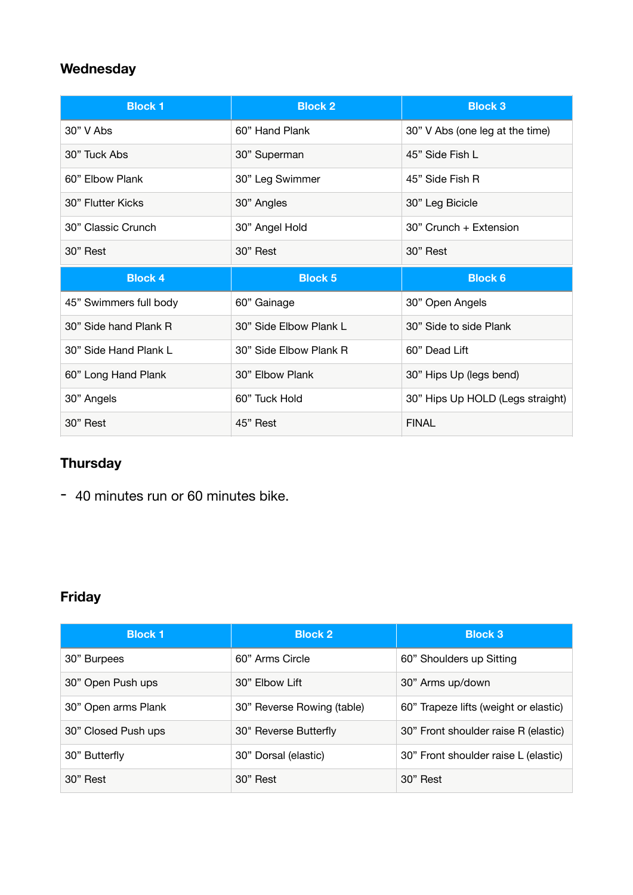## **Wednesday**

| <b>Block 1</b>         | <b>Block 2</b>         | <b>Block 3</b>                   |
|------------------------|------------------------|----------------------------------|
| $30"$ V Abs            | 60" Hand Plank         | 30" V Abs (one leg at the time)  |
| 30" Tuck Abs           | 30" Superman           | 45" Side Fish L                  |
| 60" Elbow Plank        | 30" Leg Swimmer        | 45" Side Fish R                  |
| 30" Flutter Kicks      | 30" Angles             | 30" Leg Bicicle                  |
| 30" Classic Crunch     | 30" Angel Hold         | 30" Crunch + Extension           |
| 30" Rest               | 30" Rest               | 30" Rest                         |
|                        |                        |                                  |
| <b>Block 4</b>         | <b>Block 5</b>         | <b>Block 6</b>                   |
| 45" Swimmers full body | 60" Gainage            | 30" Open Angels                  |
| 30" Side hand Plank R  | 30" Side Elbow Plank L | 30" Side to side Plank           |
| 30" Side Hand Plank L  | 30" Side Elbow Plank R | 60" Dead Lift                    |
| 60" Long Hand Plank    | 30" Elbow Plank        | 30" Hips Up (legs bend)          |
| 30" Angels             | 60" Tuck Hold          | 30" Hips Up HOLD (Legs straight) |

## **Thursday**

- 40 minutes run or 60 minutes bike.

# **Friday**

| <b>Block 1</b>      | <b>Block 2</b>             | <b>Block 3</b>                        |
|---------------------|----------------------------|---------------------------------------|
| 30" Burpees         | 60" Arms Circle            | 60" Shoulders up Sitting              |
| 30" Open Push ups   | 30" Elbow Lift             | 30" Arms up/down                      |
| 30" Open arms Plank | 30" Reverse Rowing (table) | 60" Trapeze lifts (weight or elastic) |
| 30" Closed Push ups | 30" Reverse Butterfly      | 30" Front shoulder raise R (elastic)  |
| 30" Butterfly       | 30" Dorsal (elastic)       | 30" Front shoulder raise L (elastic)  |
| 30" Rest            | 30" Rest                   | 30" Rest                              |